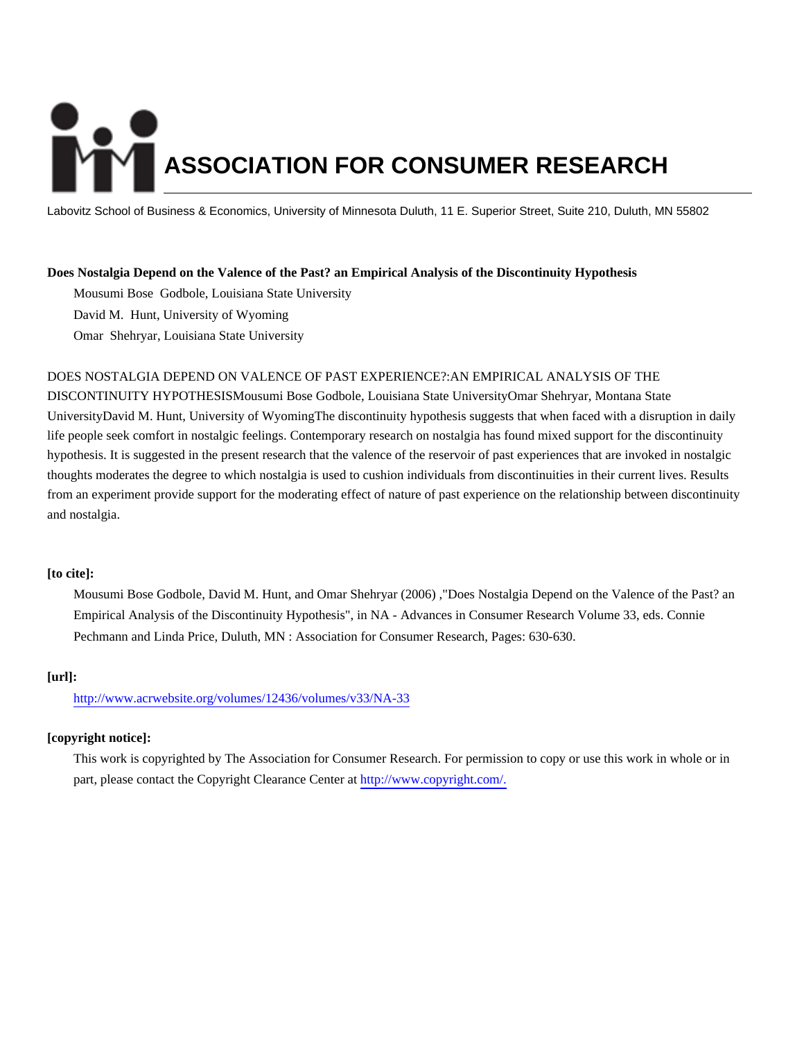# **ASSOCIATION FOR CONSUMER RESEARCH**

Labovitz School of Business & Economics, University of Minnesota Duluth, 11 E. Superior Street, Suite 210, Duluth, MN 55802

### **Does Nostalgia Depend on the Valence of the Past? an Empirical Analysis of the Discontinuity Hypothesis**

Mousumi Bose Godbole, Louisiana State University David M. Hunt, University of Wyoming

Omar Shehryar, Louisiana State University

### DOES NOSTALGIA DEPEND ON VALENCE OF PAST EXPERIENCE?:AN EMPIRICAL ANALYSIS OF THE

DISCONTINUITY HYPOTHESISMousumi Bose Godbole, Louisiana State UniversityOmar Shehryar, Montana State UniversityDavid M. Hunt, University of WyomingThe discontinuity hypothesis suggests that when faced with a disruption in daily life people seek comfort in nostalgic feelings. Contemporary research on nostalgia has found mixed support for the discontinuity hypothesis. It is suggested in the present research that the valence of the reservoir of past experiences that are invoked in nostalgic thoughts moderates the degree to which nostalgia is used to cushion individuals from discontinuities in their current lives. Results from an experiment provide support for the moderating effect of nature of past experience on the relationship between discontinuity and nostalgia.

## **[to cite]:**

Mousumi Bose Godbole, David M. Hunt, and Omar Shehryar (2006) ,"Does Nostalgia Depend on the Valence of the Past? an Empirical Analysis of the Discontinuity Hypothesis", in NA - Advances in Consumer Research Volume 33, eds. Connie Pechmann and Linda Price, Duluth, MN : Association for Consumer Research, Pages: 630-630.

### **[url]:**

<http://www.acrwebsite.org/volumes/12436/volumes/v33/NA-33>

## **[copyright notice]:**

This work is copyrighted by The Association for Consumer Research. For permission to copy or use this work in whole or in part, please contact the Copyright Clearance Center at [http://www.copyright.com/.](http://www.copyright.com/)